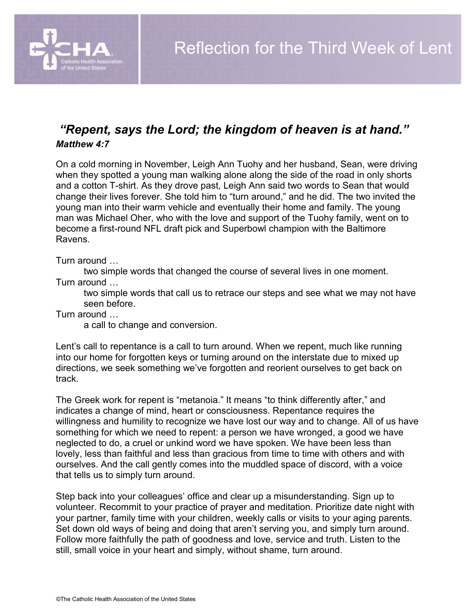

## *"Repent, says the Lord; the kingdom of heaven is at hand." Matthew 4:7*

On a cold morning in November, Leigh Ann Tuohy and her husband, Sean, were driving when they spotted a young man walking alone along the side of the road in only shorts and a cotton T-shirt. As they drove past, Leigh Ann said two words to Sean that would change their lives forever. She told him to "turn around," and he did. The two invited the young man into their warm vehicle and eventually their home and family. The young man was Michael Oher, who with the love and support of the Tuohy family, went on to become a first-round NFL draft pick and Superbowl champion with the Baltimore Ravens.

Turn around …

two simple words that changed the course of several lives in one moment. Turn around …

two simple words that call us to retrace our steps and see what we may not have seen before.

Turn around …

a call to change and conversion.

Lent's call to repentance is a call to turn around. When we repent, much like running into our home for forgotten keys or turning around on the interstate due to mixed up directions, we seek something we've forgotten and reorient ourselves to get back on track.

The Greek work for repent is "metanoia." It means "to think differently after," and indicates a change of mind, heart or consciousness. Repentance requires the willingness and humility to recognize we have lost our way and to change. All of us have something for which we need to repent: a person we have wronged, a good we have neglected to do, a cruel or unkind word we have spoken. We have been less than lovely, less than faithful and less than gracious from time to time with others and with ourselves. And the call gently comes into the muddled space of discord, with a voice that tells us to simply turn around.

Step back into your colleagues' office and clear up a misunderstanding. Sign up to volunteer. Recommit to your practice of prayer and meditation. Prioritize date night with your partner, family time with your children, weekly calls or visits to your aging parents. Set down old ways of being and doing that aren't serving you, and simply turn around. Follow more faithfully the path of goodness and love, service and truth. Listen to the still, small voice in your heart and simply, without shame, turn around.